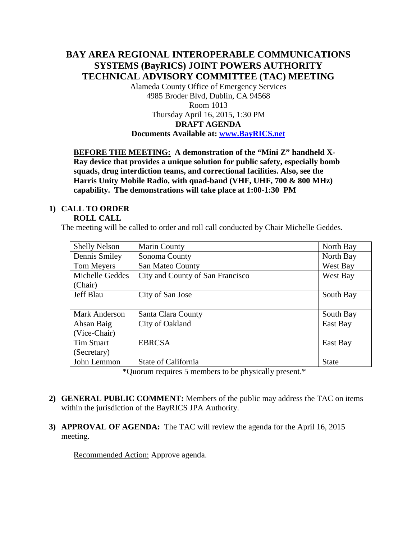### **BAY AREA REGIONAL INTEROPERABLE COMMUNICATIONS SYSTEMS (BayRICS) JOINT POWERS AUTHORITY TECHNICAL ADVISORY COMMITTEE (TAC) MEETING**

Alameda County Office of Emergency Services 4985 Broder Blvd, Dublin, CA 94568 Room 1013 Thursday April 16, 2015, 1:30 PM

# **DRAFT AGENDA**

#### **Documents Available at: [www.BayRICS.net](http://www.bayrics.net/)**

**BEFORE THE MEETING: A demonstration of the "Mini Z" handheld X-Ray device that provides a unique solution for public safety, especially bomb squads, drug interdiction teams, and correctional facilities. Also, see the Harris Unity Mobile Radio, with quad-band (VHF, UHF, 700 & 800 MHz) capability. The demonstrations will take place at 1:00-1:30 PM**

## **1) CALL TO ORDER**

#### **ROLL CALL**

The meeting will be called to order and roll call conducted by Chair Michelle Geddes.

| <b>Shelly Nelson</b> | Marin County                     | North Bay    |
|----------------------|----------------------------------|--------------|
| Dennis Smiley        | Sonoma County                    | North Bay    |
| Tom Meyers           | San Mateo County                 | West Bay     |
| Michelle Geddes      | City and County of San Francisco | West Bay     |
| (Chair)              |                                  |              |
| <b>Jeff Blau</b>     | City of San Jose                 | South Bay    |
|                      |                                  |              |
| Mark Anderson        | Santa Clara County               | South Bay    |
| Ahsan Baig           | City of Oakland                  | East Bay     |
| (Vice-Chair)         |                                  |              |
| <b>Tim Stuart</b>    | <b>EBRCSA</b>                    | East Bay     |
| (Secretary)          |                                  |              |
| John Lemmon          | State of California              | <b>State</b> |

\*Quorum requires 5 members to be physically present.\*

- **2) GENERAL PUBLIC COMMENT:** Members of the public may address the TAC on items within the jurisdiction of the BayRICS JPA Authority.
- **3) APPROVAL OF AGENDA:** The TAC will review the agenda for the April 16, 2015 meeting.

Recommended Action: Approve agenda.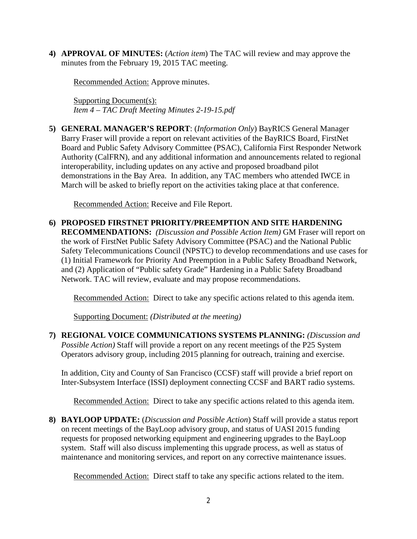**4) APPROVAL OF MINUTES:** (*Action item*) The TAC will review and may approve the minutes from the February 19, 2015 TAC meeting.

Recommended Action: Approve minutes.

Supporting Document(s): *Item 4 – TAC Draft Meeting Minutes 2-19-15.pdf*

**5) GENERAL MANAGER'S REPORT**: (*Information Only*) BayRICS General Manager Barry Fraser will provide a report on relevant activities of the BayRICS Board, FirstNet Board and Public Safety Advisory Committee (PSAC), California First Responder Network Authority (CalFRN), and any additional information and announcements related to regional interoperability, including updates on any active and proposed broadband pilot demonstrations in the Bay Area. In addition, any TAC members who attended IWCE in March will be asked to briefly report on the activities taking place at that conference.

Recommended Action: Receive and File Report.

**6) PROPOSED FIRSTNET PRIORITY/PREEMPTION AND SITE HARDENING RECOMMENDATIONS:** *(Discussion and Possible Action Item)* GM Fraser will report on the work of FirstNet Public Safety Advisory Committee (PSAC) and the National Public Safety Telecommunications Council (NPSTC) to develop recommendations and use cases for (1) Initial Framework for Priority And Preemption in a Public Safety Broadband Network, and (2) Application of "Public safety Grade" Hardening in a Public Safety Broadband Network. TAC will review, evaluate and may propose recommendations.

Recommended Action: Direct to take any specific actions related to this agenda item.

Supporting Document: *(Distributed at the meeting)*

**7) REGIONAL VOICE COMMUNICATIONS SYSTEMS PLANNING:** *(Discussion and Possible Action)* Staff will provide a report on any recent meetings of the P25 System Operators advisory group, including 2015 planning for outreach, training and exercise.

In addition, City and County of San Francisco (CCSF) staff will provide a brief report on Inter-Subsystem Interface (ISSI) deployment connecting CCSF and BART radio systems.

Recommended Action: Direct to take any specific actions related to this agenda item.

**8) BAYLOOP UPDATE:** (*Discussion and Possible Action*) Staff will provide a status report on recent meetings of the BayLoop advisory group, and status of UASI 2015 funding requests for proposed networking equipment and engineering upgrades to the BayLoop system. Staff will also discuss implementing this upgrade process, as well as status of maintenance and monitoring services, and report on any corrective maintenance issues.

Recommended Action: Direct staff to take any specific actions related to the item.